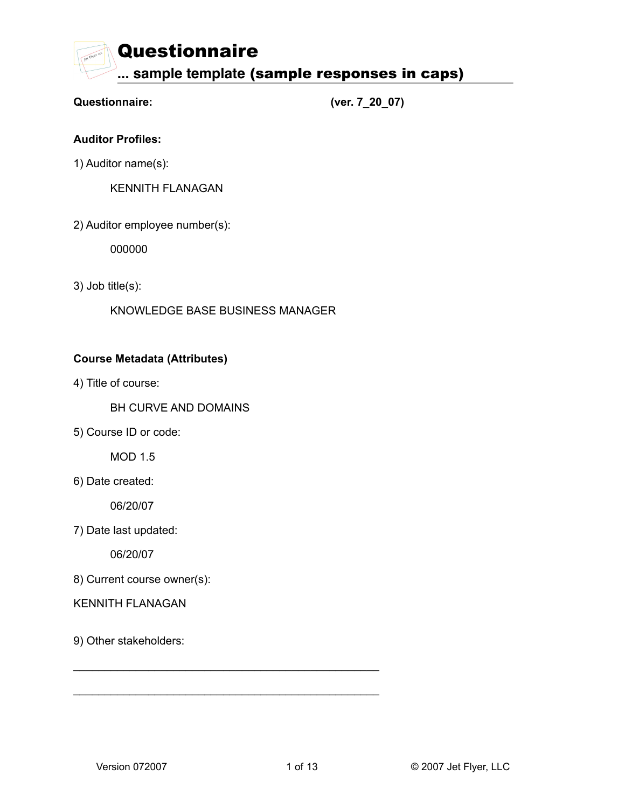# **Questionnaire: (ver. 7\_20\_07)**

# **Auditor Profiles:**

1) Auditor name(s):

KENNITH FLANAGAN

2) Auditor employee number(s):

000000

3) Job title(s):

KNOWLEDGE BASE BUSINESS MANAGER

\_\_\_\_\_\_\_\_\_\_\_\_\_\_\_\_\_\_\_\_\_\_\_\_\_\_\_\_\_\_\_\_\_\_\_\_\_\_\_\_\_\_\_\_\_\_\_\_\_

\_\_\_\_\_\_\_\_\_\_\_\_\_\_\_\_\_\_\_\_\_\_\_\_\_\_\_\_\_\_\_\_\_\_\_\_\_\_\_\_\_\_\_\_\_\_\_\_\_

# **Course Metadata (Attributes)**

4) Title of course:

BH CURVE AND DOMAINS

5) Course ID or code:

MOD 1.5

6) Date created:

06/20/07

7) Date last updated:

06/20/07

8) Current course owner(s):

## KENNITH FLANAGAN

9) Other stakeholders: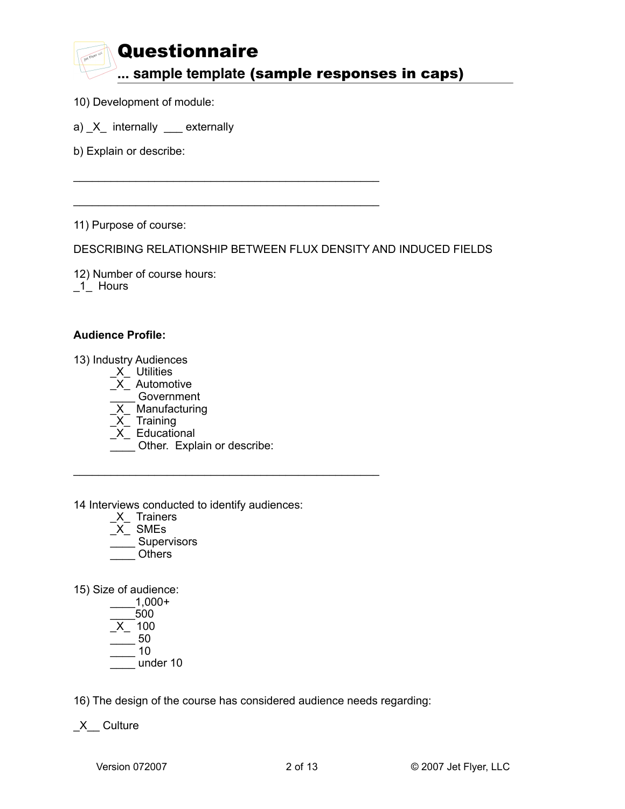\_\_\_\_\_\_\_\_\_\_\_\_\_\_\_\_\_\_\_\_\_\_\_\_\_\_\_\_\_\_\_\_\_\_\_\_\_\_\_\_\_\_\_\_\_\_\_\_\_

\_\_\_\_\_\_\_\_\_\_\_\_\_\_\_\_\_\_\_\_\_\_\_\_\_\_\_\_\_\_\_\_\_\_\_\_\_\_\_\_\_\_\_\_\_\_\_\_\_

- 10) Development of module:
- a) \_X\_ internally \_\_\_ externally
- b) Explain or describe:

11) Purpose of course:

DESCRIBING RELATIONSHIP BETWEEN FLUX DENSITY AND INDUCED FIELDS

12) Number of course hours: \_1\_ Hours

#### **Audience Profile:**

13) Industry Audiences

- $X$  Utilities
- $\overline{X}$  Automotive
- \_\_\_\_ Government
- \_X\_ Manufacturing
- \_X\_ Training
	- $X$  Educational
	- \_\_\_\_ Other. Explain or describe:

\_\_\_\_\_\_\_\_\_\_\_\_\_\_\_\_\_\_\_\_\_\_\_\_\_\_\_\_\_\_\_\_\_\_\_\_\_\_\_\_\_\_\_\_\_\_\_\_\_

14 Interviews conducted to identify audiences:

- \_X\_ Trainers
- \_X\_ SMEs
- \_\_\_\_ Supervisors
- \_\_\_\_ Others

15) Size of audience:

 \_\_\_\_1,000+  $\_500$  \_X\_ 100 \_\_\_\_ 50 \_\_\_\_ 10 \_\_\_\_ under 10

16) The design of the course has considered audience needs regarding:

\_X\_\_ Culture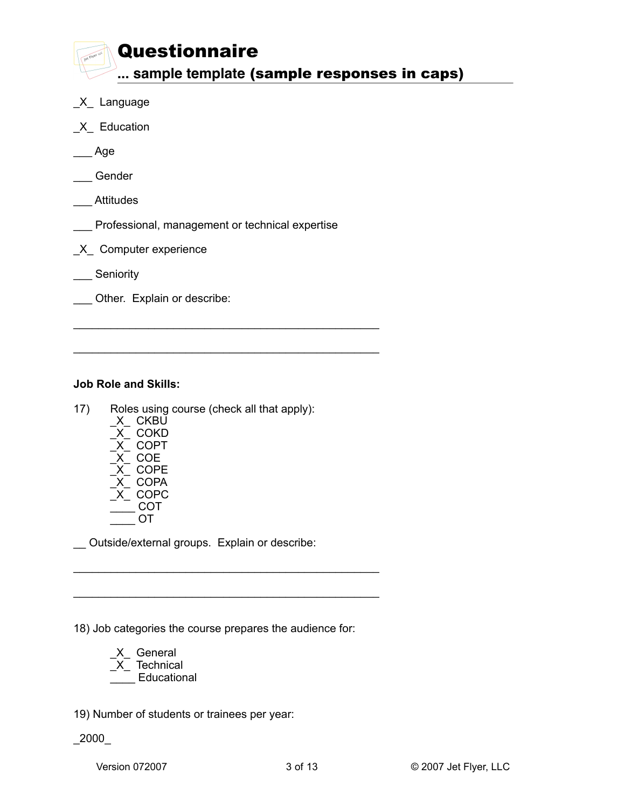- \_X\_ Language
- \_X\_ Education
- \_\_\_ Age
- \_\_\_ Gender
- \_\_\_ Attitudes
- \_\_\_ Professional, management or technical expertise

\_\_\_\_\_\_\_\_\_\_\_\_\_\_\_\_\_\_\_\_\_\_\_\_\_\_\_\_\_\_\_\_\_\_\_\_\_\_\_\_\_\_\_\_\_\_\_\_\_

\_\_\_\_\_\_\_\_\_\_\_\_\_\_\_\_\_\_\_\_\_\_\_\_\_\_\_\_\_\_\_\_\_\_\_\_\_\_\_\_\_\_\_\_\_\_\_\_\_

- \_X\_ Computer experience
- \_\_\_ Seniority
- \_\_\_ Other. Explain or describe:

# **Job Role and Skills:**

- 17) Roles using course (check all that apply):
	- \_X\_ CKBU
	- \_X\_ COKD \_X\_ COPT
	- \_X\_ COE
	- $\_$  COPE
	- $X$ <sup>-</sup> COPA
	- \_X\_ COPC
	- $\overline{\phantom{0}}$  COT \_\_\_\_ OT

Outside/external groups. Explain or describe:

18) Job categories the course prepares the audience for:

\_\_\_\_\_\_\_\_\_\_\_\_\_\_\_\_\_\_\_\_\_\_\_\_\_\_\_\_\_\_\_\_\_\_\_\_\_\_\_\_\_\_\_\_\_\_\_\_\_

\_\_\_\_\_\_\_\_\_\_\_\_\_\_\_\_\_\_\_\_\_\_\_\_\_\_\_\_\_\_\_\_\_\_\_\_\_\_\_\_\_\_\_\_\_\_\_\_\_

 \_X\_ General  $\bar{X}$  Technical \_\_\_\_ Educational

19) Number of students or trainees per year:

\_2000\_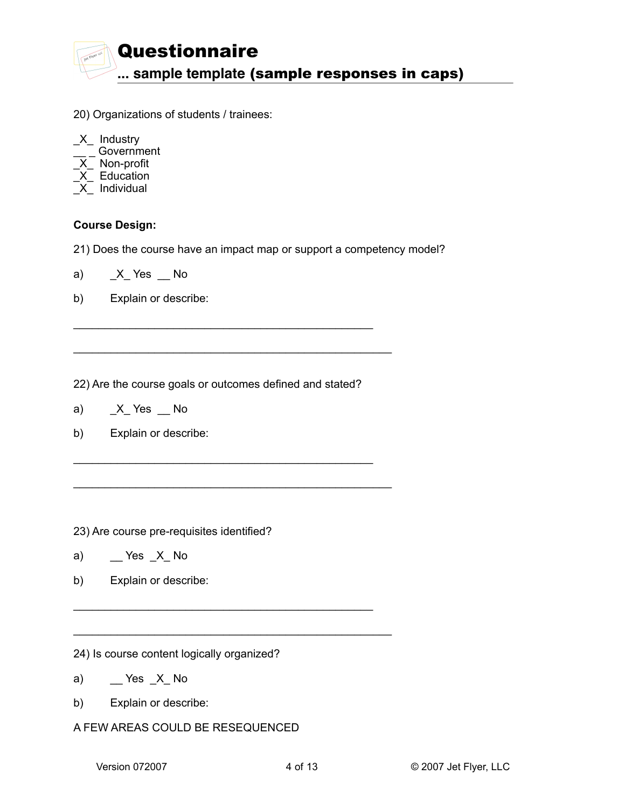

- 20) Organizations of students / trainees:
- \_X\_ Industry \_\_ \_ Government \_X\_ Non-profit  $X$  Education  $X$  Individual

#### **Course Design:**

21) Does the course have an impact map or support a competency model?

- a)  $X$ <sup> $K$ </sup>s No
- b) Explain or describe:

22) Are the course goals or outcomes defined and stated?

 $\mathcal{L}_\mathcal{L}$  , which is a set of the set of the set of the set of the set of the set of the set of the set of the set of the set of the set of the set of the set of the set of the set of the set of the set of the set of

 $\mathcal{L}_\mathcal{L}$  , which is a set of the set of the set of the set of the set of the set of the set of the set of the set of the set of the set of the set of the set of the set of the set of the set of the set of the set of

\_\_\_\_\_\_\_\_\_\_\_\_\_\_\_\_\_\_\_\_\_\_\_\_\_\_\_\_\_\_\_\_\_\_\_\_\_\_\_\_\_\_\_\_\_\_\_\_\_\_\_

\_\_\_\_\_\_\_\_\_\_\_\_\_\_\_\_\_\_\_\_\_\_\_\_\_\_\_\_\_\_\_\_\_\_\_\_\_\_\_\_\_\_\_\_\_\_\_\_\_\_\_

 $\mathcal{L}_\mathcal{L}$  , which is a set of the set of the set of the set of the set of the set of the set of the set of the set of the set of the set of the set of the set of the set of the set of the set of the set of the set of

\_\_\_\_\_\_\_\_\_\_\_\_\_\_\_\_\_\_\_\_\_\_\_\_\_\_\_\_\_\_\_\_\_\_\_\_\_\_\_\_\_\_\_\_\_\_\_\_\_\_\_

- a)  $X$ <sup> $K$ </sup>s No
- b) Explain or describe:

23) Are course pre-requisites identified?

- a)  $\qquad \qquad$  Yes  $\angle X$  No
- b) Explain or describe:

24) Is course content logically organized?

- a)  $\qquad \qquad$  Yes  $\_X$  No
- b) Explain or describe:
- A FEW AREAS COULD BE RESEQUENCED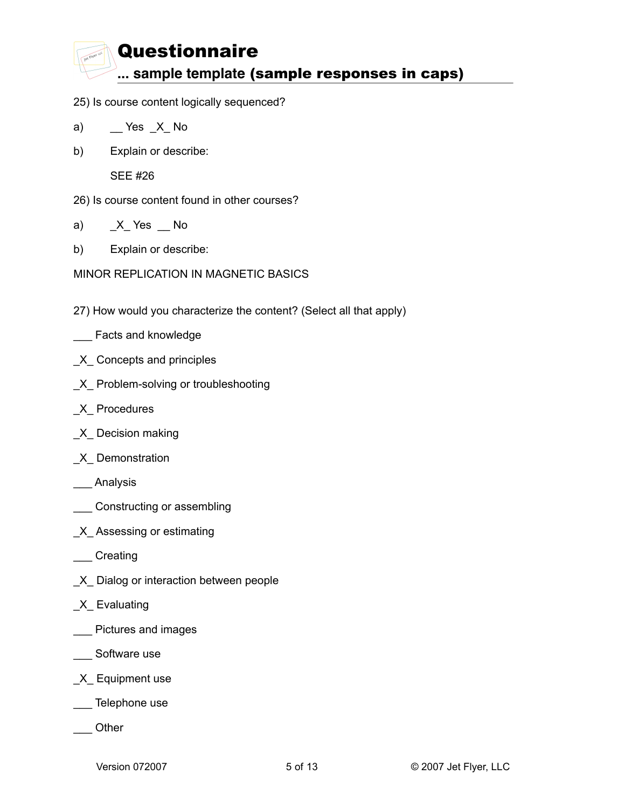- 25) Is course content logically sequenced?
- a)  $\qquad$  Yes  $\mathsf{X}$  No
- b) Explain or describe:

SEE #26

- 26) Is course content found in other courses?
- a)  $X$ <sup> $K$ </sup>s No
- b) Explain or describe:

MINOR REPLICATION IN MAGNETIC BASICS

- 27) How would you characterize the content? (Select all that apply)
- **\_\_\_** Facts and knowledge
- \_X\_ Concepts and principles
- \_X\_ Problem-solving or troubleshooting
- \_X\_ Procedures
- \_X\_ Decision making
- \_X\_ Demonstration
- \_\_\_ Analysis
- **Constructing or assembling**
- \_X\_ Assessing or estimating
- \_\_\_ Creating
- \_X\_ Dialog or interaction between people
- \_X\_ Evaluating
- **\_\_\_** Pictures and images
- \_\_\_ Software use
- \_X\_ Equipment use
- \_\_\_ Telephone use
- \_\_\_ Other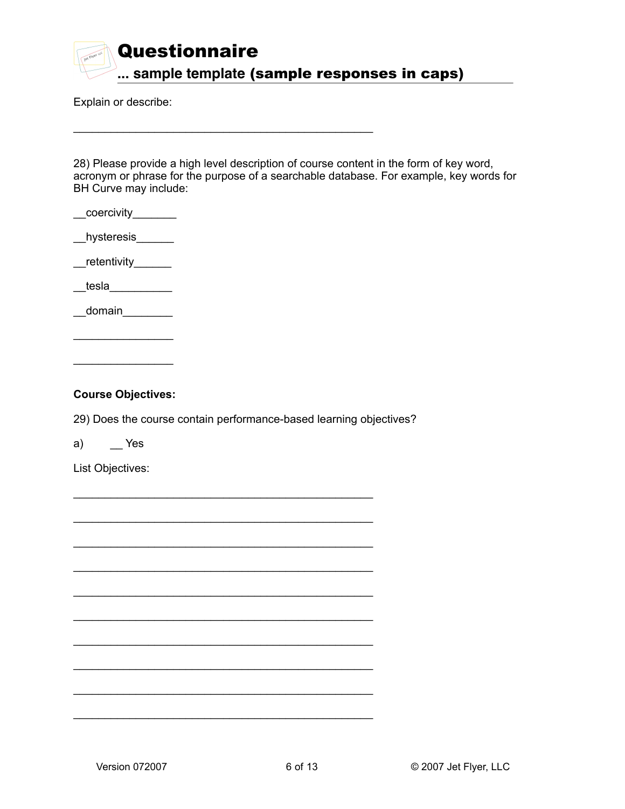

 $\mathcal{L}_\mathcal{L}$  , which is a set of the set of the set of the set of the set of the set of the set of the set of the set of the set of the set of the set of the set of the set of the set of the set of the set of the set of

Explain or describe:

28) Please provide a high level description of course content in the form of key word, acronym or phrase for the purpose of a searchable database. For example, key words for BH Curve may include:

- $\_$ coercivity $\_$
- $_{\_\_}$ hysteresis $_{\_\_}$

 $r$ etentivity $r$ 

 ${\sf t}$ esla ${\sf I}$ 

 $\_$ domain $\_$ 

 $\overline{\phantom{a}}$  , and the set of the set of the set of the set of the set of the set of the set of the set of the set of the set of the set of the set of the set of the set of the set of the set of the set of the set of the s

 $\mathcal{L}_\text{max}$  . The set of the set of the set of the set of the set of the set of the set of the set of the set of the set of the set of the set of the set of the set of the set of the set of the set of the set of the set

#### **Course Objectives:**

29) Does the course contain performance-based learning objectives?

 $\mathcal{L}_\mathcal{L}$  , which is a set of the set of the set of the set of the set of the set of the set of the set of the set of the set of the set of the set of the set of the set of the set of the set of the set of the set of

 $\mathcal{L}_\mathcal{L}$  , which is a set of the set of the set of the set of the set of the set of the set of the set of the set of the set of the set of the set of the set of the set of the set of the set of the set of the set of

 $\mathcal{L}_\mathcal{L}$  , which is a set of the set of the set of the set of the set of the set of the set of the set of the set of the set of the set of the set of the set of the set of the set of the set of the set of the set of

 $\mathcal{L}_\mathcal{L}$  , which is a set of the set of the set of the set of the set of the set of the set of the set of the set of the set of the set of the set of the set of the set of the set of the set of the set of the set of

 $\mathcal{L}_\mathcal{L}$  , which is a set of the set of the set of the set of the set of the set of the set of the set of the set of the set of the set of the set of the set of the set of the set of the set of the set of the set of

 $\mathcal{L}_\mathcal{L}$  , which is a set of the set of the set of the set of the set of the set of the set of the set of the set of the set of the set of the set of the set of the set of the set of the set of the set of the set of

 $\mathcal{L}_\mathcal{L}$  , which is a set of the set of the set of the set of the set of the set of the set of the set of the set of the set of the set of the set of the set of the set of the set of the set of the set of the set of

 $\mathcal{L}_\mathcal{L}$  , which is a set of the set of the set of the set of the set of the set of the set of the set of the set of the set of the set of the set of the set of the set of the set of the set of the set of the set of

 $\mathcal{L}_\mathcal{L}$  , which is a set of the set of the set of the set of the set of the set of the set of the set of the set of the set of the set of the set of the set of the set of the set of the set of the set of the set of

 $\mathcal{L}_\mathcal{L}$  , which is a set of the set of the set of the set of the set of the set of the set of the set of the set of the set of the set of the set of the set of the set of the set of the set of the set of the set of

a) \_\_ Yes

List Objectives: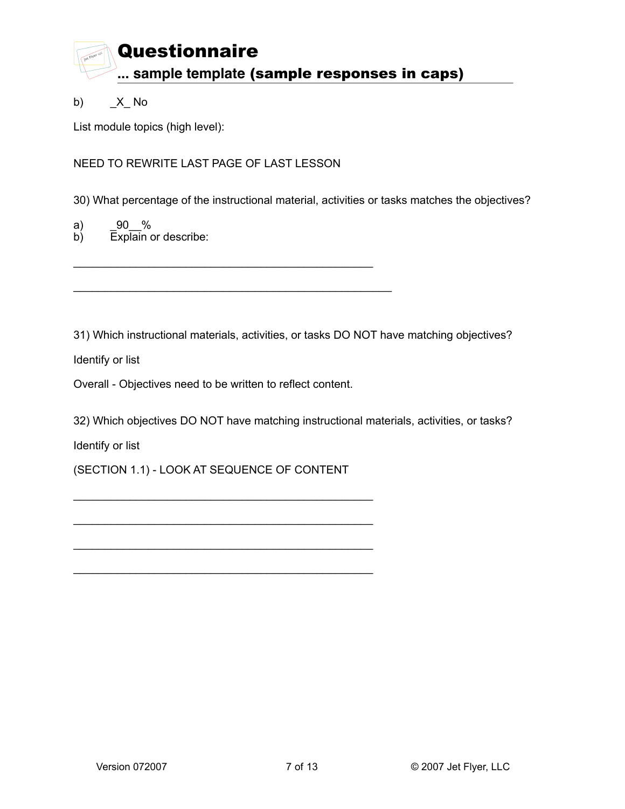

b) \_X\_ No

List module topics (high level):

NEED TO REWRITE LAST PAGE OF LAST LESSON

30) What percentage of the instructional material, activities or tasks matches the objectives?

a) \_90\_\_%

 $\overline{b}$ ) Explain or describe:

31) Which instructional materials, activities, or tasks DO NOT have matching objectives?

Identify or list

Overall - Objectives need to be written to reflect content.

 $\mathcal{L}_\mathcal{L}$  , which is a set of the set of the set of the set of the set of the set of the set of the set of the set of the set of the set of the set of the set of the set of the set of the set of the set of the set of

\_\_\_\_\_\_\_\_\_\_\_\_\_\_\_\_\_\_\_\_\_\_\_\_\_\_\_\_\_\_\_\_\_\_\_\_\_\_\_\_\_\_\_\_\_\_\_\_\_\_\_

32) Which objectives DO NOT have matching instructional materials, activities, or tasks?

Identify or list

(SECTION 1.1) - LOOK AT SEQUENCE OF CONTENT

 $\mathcal{L}_\mathcal{L}$  , which is a set of the set of the set of the set of the set of the set of the set of the set of the set of the set of the set of the set of the set of the set of the set of the set of the set of the set of

 $\mathcal{L}_\mathcal{L}$  , which is a set of the set of the set of the set of the set of the set of the set of the set of the set of the set of the set of the set of the set of the set of the set of the set of the set of the set of

 $\mathcal{L}_\mathcal{L}$  , which is a set of the set of the set of the set of the set of the set of the set of the set of the set of the set of the set of the set of the set of the set of the set of the set of the set of the set of

 $\mathcal{L}_\mathcal{L}$  , which is a set of the set of the set of the set of the set of the set of the set of the set of the set of the set of the set of the set of the set of the set of the set of the set of the set of the set of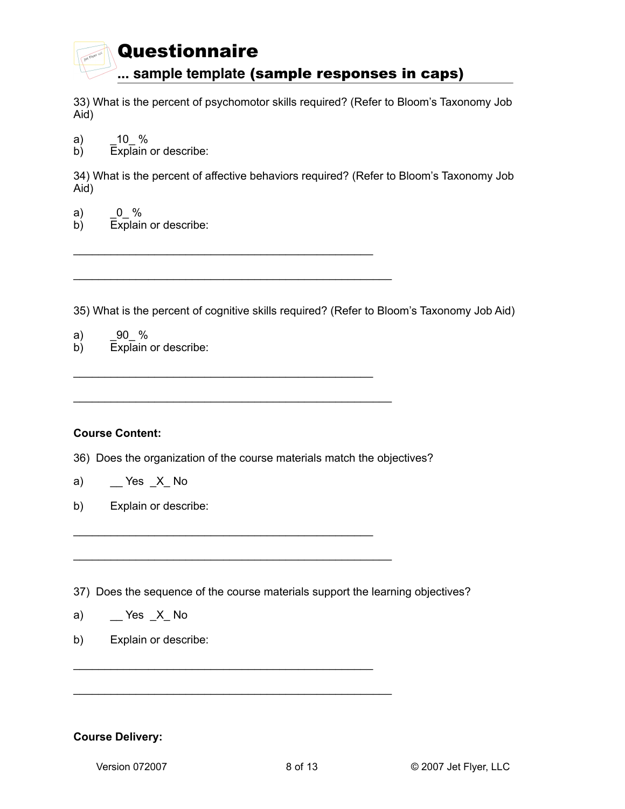33) What is the percent of psychomotor skills required? (Refer to Bloom's Taxonomy Job Aid)

- a) \_10\_ %
- b) Explain or describe:

34) What is the percent of affective behaviors required? (Refer to Bloom's Taxonomy Job Aid)

- a)  $0_{0}$  %
- b) Explain or describe:

35) What is the percent of cognitive skills required? (Refer to Bloom's Taxonomy Job Aid)

- a)  $\_90$  %
- b) Explain or describe:

## **Course Content:**

36) Does the organization of the course materials match the objectives?

 $\mathcal{L}_\mathcal{L}$  , which is a set of the set of the set of the set of the set of the set of the set of the set of the set of the set of the set of the set of the set of the set of the set of the set of the set of the set of

 $\mathcal{L}_\mathcal{L}$  , which is a set of the set of the set of the set of the set of the set of the set of the set of the set of the set of the set of the set of the set of the set of the set of the set of the set of the set of

\_\_\_\_\_\_\_\_\_\_\_\_\_\_\_\_\_\_\_\_\_\_\_\_\_\_\_\_\_\_\_\_\_\_\_\_\_\_\_\_\_\_\_\_\_\_\_\_

 $\mathcal{L}_\mathcal{L}$  , which is a set of the set of the set of the set of the set of the set of the set of the set of the set of the set of the set of the set of the set of the set of the set of the set of the set of the set of

\_\_\_\_\_\_\_\_\_\_\_\_\_\_\_\_\_\_\_\_\_\_\_\_\_\_\_\_\_\_\_\_\_\_\_\_\_\_\_\_\_\_\_\_\_\_\_\_\_\_\_

\_\_\_\_\_\_\_\_\_\_\_\_\_\_\_\_\_\_\_\_\_\_\_\_\_\_\_\_\_\_\_\_\_\_\_\_\_\_\_\_\_\_\_\_\_\_\_\_\_\_\_

\_\_\_\_\_\_\_\_\_\_\_\_\_\_\_\_\_\_\_\_\_\_\_\_\_\_\_\_\_\_\_\_\_\_\_\_\_\_\_\_\_\_\_\_\_\_\_\_\_\_\_

\_\_\_\_\_\_\_\_\_\_\_\_\_\_\_\_\_\_\_\_\_\_\_\_\_\_\_\_\_\_\_\_\_\_\_\_\_\_\_\_\_\_\_\_\_\_\_\_\_\_\_

- a)  $\qquad \qquad$  Yes  $\angle X$  No
- b) Explain or describe:
- 37) Does the sequence of the course materials support the learning objectives?
- a)  $\qquad \qquad$  Yes  $\_X$  No
- b) Explain or describe:

## **Course Delivery:**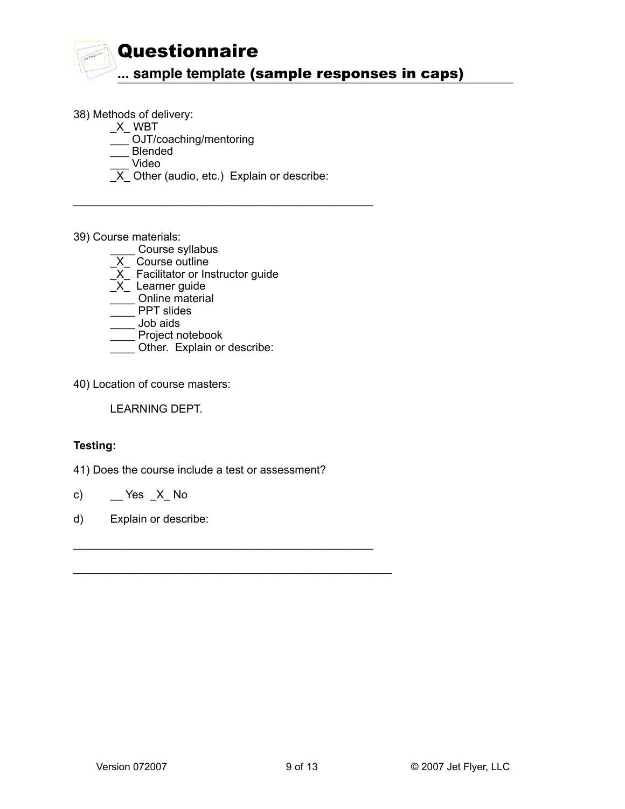

38) Methods of delivery:

 $X$ <sub>\_</sub>WBT

\_\_\_ OJT/coaching/mentoring

\_\_\_ Blended

\_\_\_ Video

 $X$  Other (audio, etc.) Explain or describe:

 $\mathcal{L}_\mathcal{L}$  , which is a set of the set of the set of the set of the set of the set of the set of the set of the set of the set of the set of the set of the set of the set of the set of the set of the set of the set of

39) Course materials:

\_\_\_\_ Course syllabus

- $X$  Course outline
- $\overline{X}$  Facilitator or Instructor guide
- X<sup>-</sup> Learner guide
- $\frac{1}{2}$  Online material
- **THE PPT slides**
- \_\_\_\_ Job aids
- \_\_\_\_ Project notebook
- Other. Explain or describe:

40) Location of course masters:

LEARNING DEPT.

# **Testing:**

41) Does the course include a test or assessment?

 $\mathcal{L}_\mathcal{L}$  , which is a set of the set of the set of the set of the set of the set of the set of the set of the set of the set of the set of the set of the set of the set of the set of the set of the set of the set of

\_\_\_\_\_\_\_\_\_\_\_\_\_\_\_\_\_\_\_\_\_\_\_\_\_\_\_\_\_\_\_\_\_\_\_\_\_\_\_\_\_\_\_\_\_\_\_\_\_\_\_

- c)  $\qquad \qquad$  Yes  $\angle X$  No
- d) Explain or describe: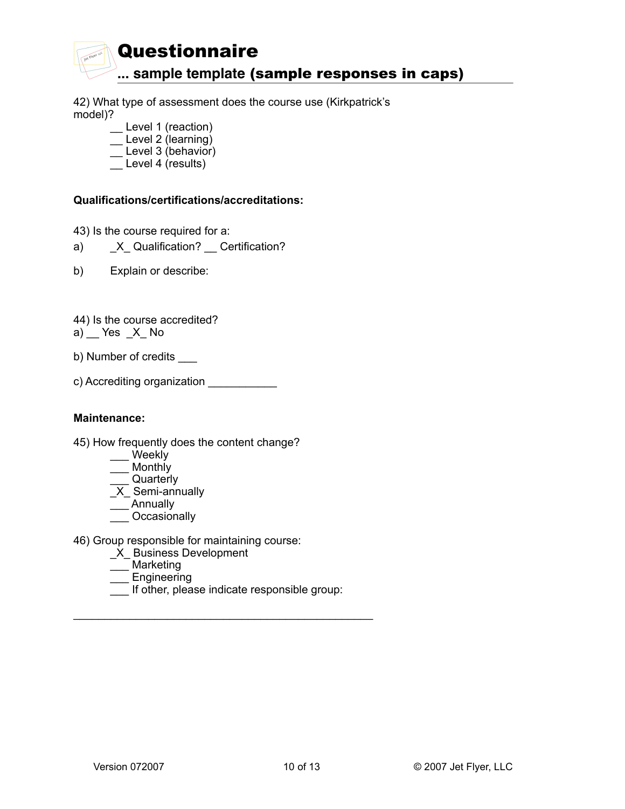

42) What type of assessment does the course use (Kirkpatrick's model)?

- \_\_ Level 1 (reaction)  $\equiv$  Level 2 (learning)
- $\equiv$  Level 3 (behavior)
- \_\_ Level 4 (results)

# **Qualifications/certifications/accreditations:**

43) Is the course required for a:

- a) X\_ Qualification? Certification?
- b) Explain or describe:
- 44) Is the course accredited?  $a)$  Yes  $X$  No
- b) Number of credits \_\_\_\_
- c) Accrediting organization \_\_\_\_\_\_\_\_\_\_\_\_

## **Maintenance:**

- 45) How frequently does the content change?
	- \_\_\_ Weekly
	- \_\_\_ Monthly
	- \_\_\_ Quarterly
	- \_X\_ Semi-annually
	- \_\_\_ Annually
	- \_\_\_ Occasionally
- 46) Group responsible for maintaining course:
	- \_X\_ Business Development
	- \_\_\_ Marketing
	- \_\_\_ Engineering
	- \_\_\_ If other, please indicate responsible group:

 $\mathcal{L}_\mathcal{L}$  , which is a set of the set of the set of the set of the set of the set of the set of the set of the set of the set of the set of the set of the set of the set of the set of the set of the set of the set of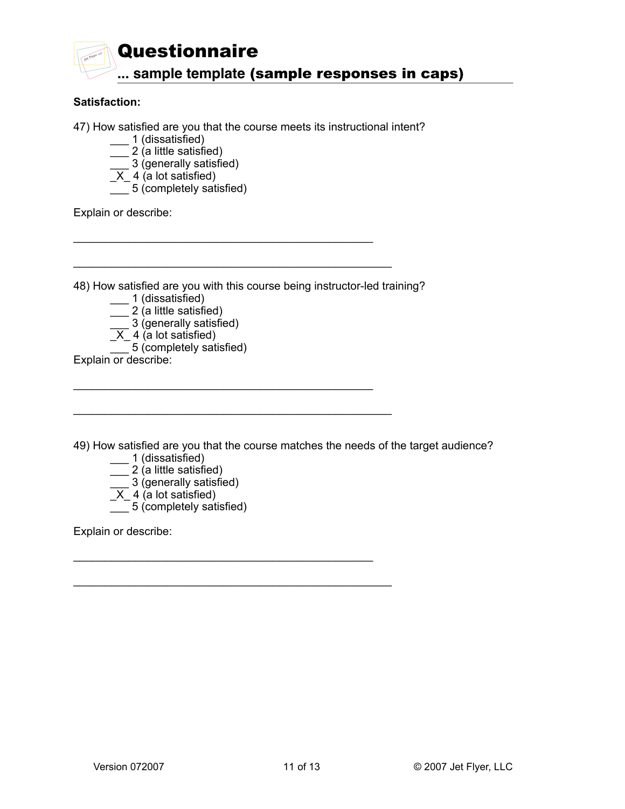

## **Satisfaction:**

47) How satisfied are you that the course meets its instructional intent?

- \_\_\_ 1 (dissatisfied)
- \_\_\_ 2 (a little satisfied)
- \_\_\_ 3 (generally satisfied)
	- $\overline{X}$  4 (a lot satisfied)
	- \_\_\_ 5 (completely satisfied)

Explain or describe:

48) How satisfied are you with this course being instructor-led training?

 $\mathcal{L}_\mathcal{L}$  , which is a set of the set of the set of the set of the set of the set of the set of the set of the set of the set of the set of the set of the set of the set of the set of the set of the set of the set of

 $\mathcal{L}_\mathcal{L}$  , which is a set of the set of the set of the set of the set of the set of the set of the set of the set of the set of the set of the set of the set of the set of the set of the set of the set of the set of

 $\mathcal{L}_\mathcal{L}$  , which is a set of the set of the set of the set of the set of the set of the set of the set of the set of the set of the set of the set of the set of the set of the set of the set of the set of the set of

\_\_\_\_\_\_\_\_\_\_\_\_\_\_\_\_\_\_\_\_\_\_\_\_\_\_\_\_\_\_\_\_\_\_\_\_\_\_\_\_\_\_\_\_\_\_\_\_\_\_\_

\_\_\_\_\_\_\_\_\_\_\_\_\_\_\_\_\_\_\_\_\_\_\_\_\_\_\_\_\_\_\_\_\_\_\_\_\_\_\_\_\_\_\_\_\_\_\_\_\_\_\_

\_\_\_\_\_\_\_\_\_\_\_\_\_\_\_\_\_\_\_\_\_\_\_\_\_\_\_\_\_\_\_\_\_\_\_\_\_\_\_\_\_\_\_\_\_\_\_\_\_\_\_

- \_\_\_ 1 (dissatisfied)
- \_\_\_ 2 (a little satisfied)

\_\_\_ 3 (generally satisfied)

- $X_4$  (a lot satisfied)
	- $\frac{1}{\sqrt{2}}$  5 (completely satisfied)
- Explain or describe:

49) How satisfied are you that the course matches the needs of the target audience?

- \_\_\_ 1 (dissatisfied)
- \_\_\_ 2 (a little satisfied)
- \_\_\_ 3 (generally satisfied)
	- $\overline{X}$  4 (a lot satisfied)
	- $\frac{1}{\sqrt{2}}$  5 (completely satisfied)

Explain or describe: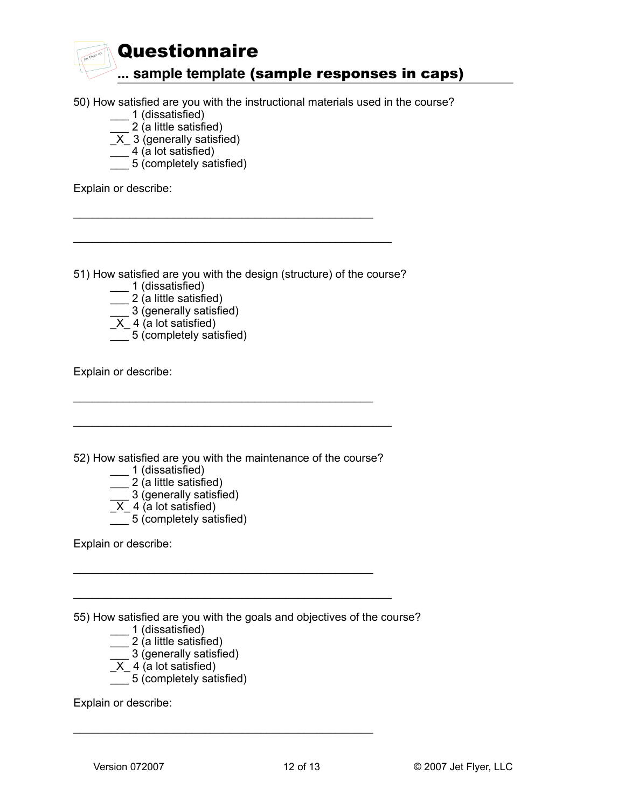

- 50) How satisfied are you with the instructional materials used in the course?
	- \_\_\_ 1 (dissatisfied)
		- \_\_\_ 2 (a little satisfied)
	- $\overline{X}$  3 (generally satisfied)
	- $\frac{-}{-}$  4 (a lot satisfied)
	- $\overline{\phantom{a}}$  5 (completely satisfied)

Explain or describe:

51) How satisfied are you with the design (structure) of the course?

 $\mathcal{L}_\mathcal{L}$  , which is a set of the set of the set of the set of the set of the set of the set of the set of the set of the set of the set of the set of the set of the set of the set of the set of the set of the set of

\_\_\_\_\_\_\_\_\_\_\_\_\_\_\_\_\_\_\_\_\_\_\_\_\_\_\_\_\_\_\_\_\_\_\_\_\_\_\_\_\_\_\_\_\_\_\_\_\_\_\_

- \_\_\_ 1 (dissatisfied)
- \_\_ 2 (a little satisfied)
- $\overline{\phantom{a}}$  3 (generally satisfied)
- $X_4$  (a lot satisfied)
- \_\_\_ 5 (completely satisfied)

Explain or describe:

52) How satisfied are you with the maintenance of the course?

 $\mathcal{L}_\mathcal{L}$  , which is a set of the set of the set of the set of the set of the set of the set of the set of the set of the set of the set of the set of the set of the set of the set of the set of the set of the set of

 $\mathcal{L}_\mathcal{L}$  , which is a set of the set of the set of the set of the set of the set of the set of the set of the set of the set of the set of the set of the set of the set of the set of the set of the set of the set of

\_\_\_\_\_\_\_\_\_\_\_\_\_\_\_\_\_\_\_\_\_\_\_\_\_\_\_\_\_\_\_\_\_\_\_\_\_\_\_\_\_\_\_\_\_\_\_\_\_\_\_

\_\_\_\_\_\_\_\_\_\_\_\_\_\_\_\_\_\_\_\_\_\_\_\_\_\_\_\_\_\_\_\_\_\_\_\_\_\_\_\_\_\_\_\_\_\_\_\_\_\_\_

 $\mathcal{L}_\mathcal{L}$  , which is a set of the set of the set of the set of the set of the set of the set of the set of the set of the set of the set of the set of the set of the set of the set of the set of the set of the set of

- \_\_\_ 1 (dissatisfied)
- \_\_\_ 2 (a little satisfied)
- \_\_\_ 3 (generally satisfied)
- $X_4$  (a lot satisfied)
	- $\frac{1}{\sqrt{2}}$  5 (completely satisfied)

Explain or describe:

55) How satisfied are you with the goals and objectives of the course?

- \_\_\_ 1 (dissatisfied)
- \_\_\_ 2 (a little satisfied)
- \_\_\_ 3 (generally satisfied)
	- $X_4$  (a lot satisfied)
	- $\overline{\phantom{a}}$  5 (completely satisfied)

Explain or describe: